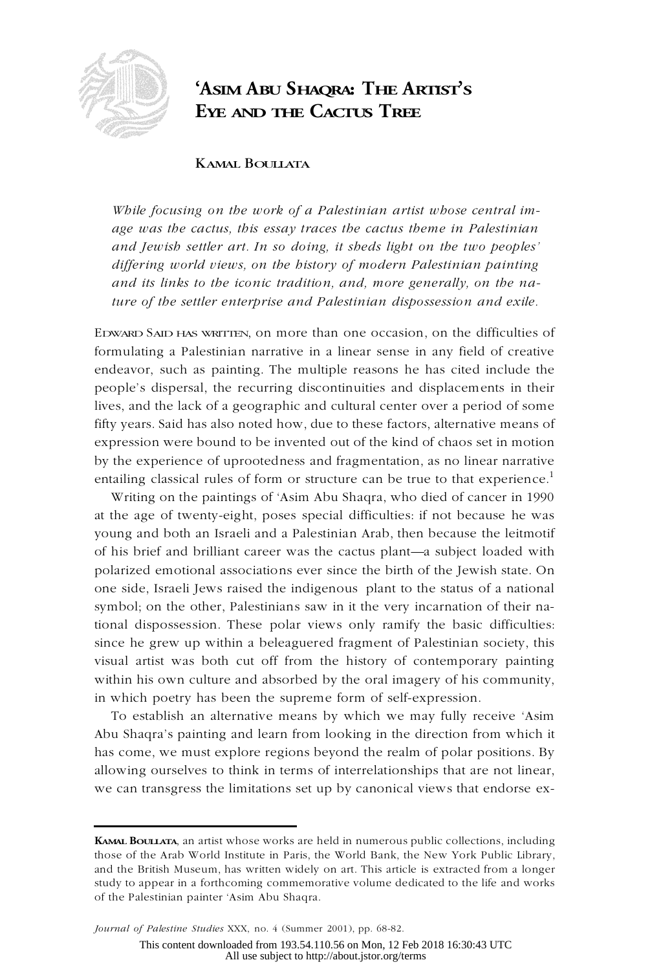

# **'ASIM ABU SHAQRA: THE ARTIST'S EYE AND THE CACTUS TREE**

## KAMAL BOULLATA

*While focusing on the work of a Palestinian artist whose central image was the cactus, this essay traces the cactus theme in Palestinian and Jewish settler art. In so doing, it sheds light on the two peoples' differing world views, on the history of modern Palestinian painting and its links to the iconic tradition, and, more generally, on the nature of the settler enterprise and Palestinian dispossession and exile.*

EDWARD SAID HAS WRITTEN, on more than one occasion, on the difficulties of formulating a Palestinian narrative in a linear sense in any field of creative endeavor, such as painting. The multiple reasons he has cited include the people's dispersal, the recurring discontinuities and displacements in their lives, and the lack of a geographic and cultural center over a period of some fifty years. Said has also noted how, due to these factors, alternative means of expression were bound to be invented out of the kind of chaos set in motion by the experience of uprootedness and fragmentation, as no linear narrative entailing classical rules of form or structure can be true to that experience.<sup>1</sup>

Writing on the paintings of 'Asim Abu Shaqra, who died of cancer in 1990 at the age of twenty-eight, poses special difficulties: if not because he was young and both an Israeli and a Palestinian Arab, then because the leitmotif of his brief and brilliant career was the cactus plant—a subject loaded with polarized emotional associations ever since the birth of the Jewish state. On one side, Israeli Jews raised the indigenous plant to the status of a national symbol; on the other, Palestinians saw in it the very incarnation of their national dispossession. These polar views only ramify the basic difficulties: since he grew up within a beleaguered fragment of Palestinian society, this visual artist was both cut off from the history of contemporary painting within his own culture and absorbed by the oral imagery of his community, in which poetry has been the supreme form of self-expression.

To establish an alternative means by which we may fully receive 'Asim Abu Shaqra's painting and learn from looking in the direction from which it has come, we must explore regions beyond the realm of polar positions. By allowing ourselves to think in terms of interrelationships that are not linear, we can transgress the limitations set up by canonical views that endorse ex-

**KAMAL BOULLATA**, an artist whose works are held in numerous public collections, including those of the Arab World Institute in Paris, the World Bank, the New York Public Library, and the British Museum, has written widely on art. This article is extracted from a longer study to appear in a forthcoming commemorative volume dedicated to the life and works of the Palestinian painter 'Asim Abu Shaqra.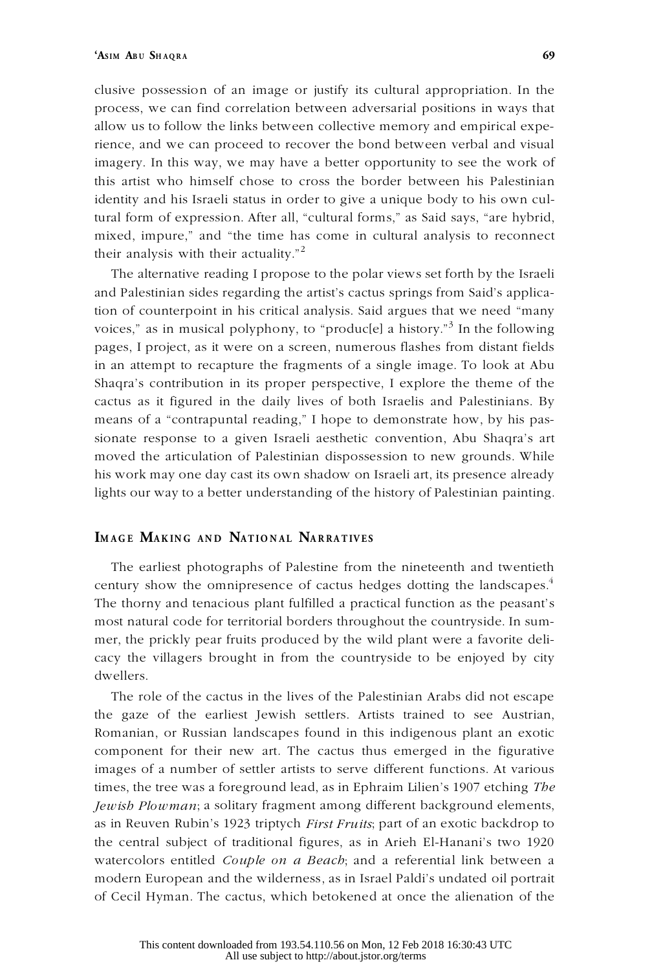clusive possession of an image or justify its cultural appropriation. In the process, we can find correlation between adversarial positions in ways that allow us to follow the links between collective memory and empirical experience, and we can proceed to recover the bond between verbal and visual imagery. In this way, we may have a better opportunity to see the work of this artist who himself chose to cross the border between his Palestinian identity and his Israeli status in order to give a unique body to his own cultural form of expression. After all, "cultural forms," as Said says, "are hybrid, mixed, impure," and "the time has come in cultural analysis to reconnect their analysis with their actuality."<sup>2</sup>

The alternative reading I propose to the polar views set forth by the Israeli and Palestinian sides regarding the artist's cactus springs from Said's application of counterpoint in his critical analysis. Said argues that we need "many voices," as in musical polyphony, to "produc[e] a history."<sup>3</sup> In the following pages, I project, as it were on a screen, numerous flashes from distant fields in an attempt to recapture the fragments of a single image. To look at Abu Shaqra's contribution in its proper perspective, I explore the theme of the cactus as it figured in the daily lives of both Israelis and Palestinians. By means of a "contrapuntal reading," I hope to demonstrate how, by his passionate response to a given Israeli aesthetic convention, Abu Shaqra's art moved the articulation of Palestinian dispossession to new grounds. While his work may one day cast its own shadow on Israeli art, its presence already lights our way to a better understanding of the history of Palestinian painting.

#### **IMAGE MAKING AND NATIONAL NARRATIVES**

The earliest photographs of Palestine from the nineteenth and twentieth century show the omnipresence of cactus hedges dotting the landscapes.<sup>4</sup> The thorny and tenacious plant fulfilled a practical function as the peasant's most natural code for territorial borders throughout the countryside. In sum mer, the prickly pear fruits produced by the wild plant were a favorite delicacy the villagers brought in from the countryside to be enjoyed by city dwellers.

The role of the cactus in the lives of the Palestinian Arabs did not escape the gaze of the earliest Jewish settlers. Artists trained to see Austrian, Romanian, or Russian landscapes found in this indigenous plant an exotic component for their new art. The cactus thus emerged in the figurative images of a number of settler artists to serve different functions. At various times, the tree was a foreground lead, as in Ephraim Lilien's 1907 etching *The Jewish Plowman*; a solitary fragment among different background elements, as in Reuven Rubin's 1923 triptych *First Fruits*; part of an exotic backdrop to the central subject of traditional figures, as in Arieh El-Hanani's two 1920 watercolors entitled *Couple on a Beach*; and a referential link between a modern European and the wilderness, as in Israel Paldi's undated oil portrait of Cecil Hyman. The cactus, which betokened at once the alienation of the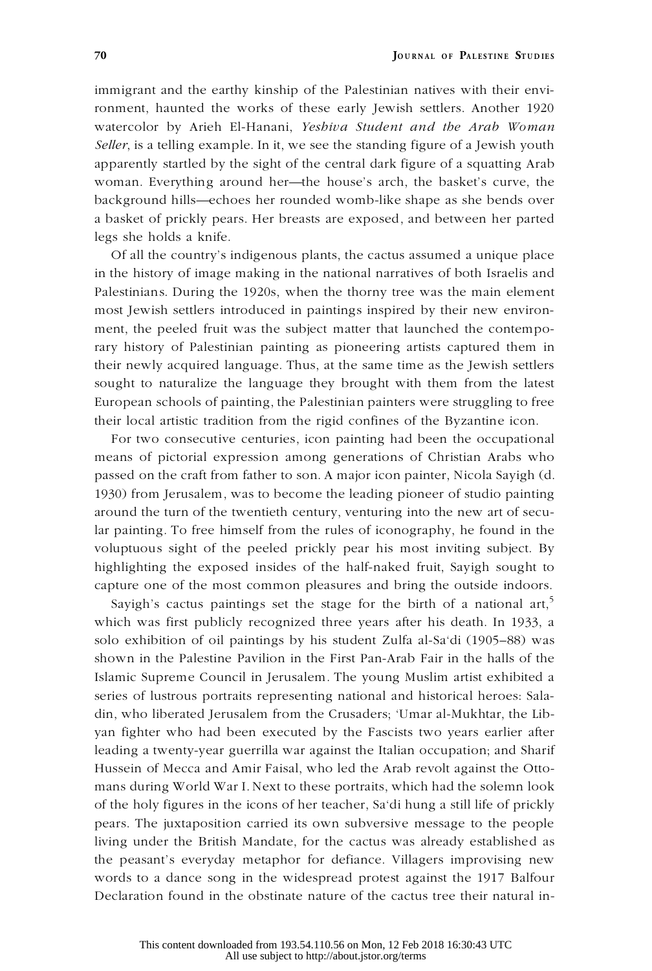immigrant and the earthy kinship of the Palestinian natives with their environment, haunted the works of these early Jewish settlers. Another 1920 watercolor by Arieh El-Hanani, *Yeshiva Student and the Arab Woman Seller*, is a telling example. In it, we see the standing figure of a Jewish youth apparently startled by the sight of the central dark figure of a squatting Arab woman. Everything around her—the house's arch, the basket's curve, the background hills—echoes her rounded womb-like shape as she bends over a basket of prickly pears. Her breasts are exposed, and between her parted legs she holds a knife.

Of all the country's indigenous plants, the cactus assumed a unique place in the history of image making in the national narratives of both Israelis and Palestinians. During the 1920s, when the thorny tree was the main element most Jewish settlers introduced in paintings inspired by their new environ ment, the peeled fruit was the subject matter that launched the contemporary history of Palestinian painting as pioneering artists captured them in their newly acquired language. Thus, at the same time as the Jewish settlers sought to naturalize the language they brought with them from the latest European schools of painting, the Palestinian painters were struggling to free their local artistic tradition from the rigid confines of the Byzantine icon.

For two consecutive centuries, icon painting had been the occupational means of pictorial expression among generations of Christian Arabs who passed on the craft from father to son. A major icon painter, Nicola Sayigh (d. 1930) from Jerusalem, was to become the leading pioneer of studio painting around the turn of the twentieth century, venturing into the new art of secular painting. To free himself from the rules of iconography, he found in the voluptuous sight of the peeled prickly pear his most inviting subject. By highlighting the exposed insides of the half-naked fruit, Sayigh sought to capture one of the most common pleasures and bring the outside indoors.

Sayigh's cactus paintings set the stage for the birth of a national art,<sup>5</sup> which was first publicly recognized three years after his death. In 1933, a solo exhibition of oil paintings by his student Zulfa al-Sa'di (1905–88) was shown in the Palestine Pavilion in the First Pan-Arab Fair in the halls of the Islamic Supreme Council in Jerusalem. The young Muslim artist exhibited a series of lustrous portraits representing national and historical heroes: Saladin, who liberated Jerusalem from the Crusaders; 'Umar al-Mukhtar, the Libyan fighter who had been executed by the Fascists two years earlier after leading a twenty-year guerrilla war against the Italian occupation; and Sharif Hussein of Mecca and Amir Faisal, who led the Arab revolt against the Otto mans during World War I. Next to these portraits, which had the solemn look of the holy figures in the icons of her teacher, Sa'di hung a still life of prickly pears. The juxtaposition carried its own subversive message to the people living under the British Mandate, for the cactus was already established as the peasant's everyday metaphor for defiance. Villagers improvising new words to a dance song in the widespread protest against the 1917 Balfour Declaration found in the obstinate nature of the cactus tree their natural in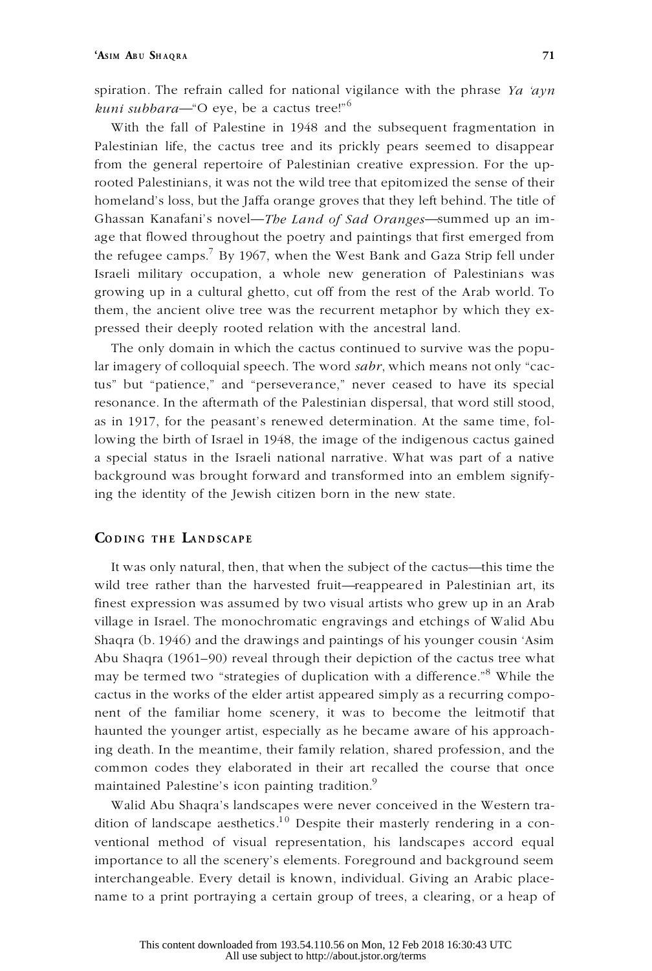spiration. The refrain called for national vigilance with the phrase *Ya 'ayn kuni subbara*—"O eye, be a cactus tree!"<sup>6</sup>

With the fall of Palestine in 1948 and the subsequent fragmentation in Palestinian life, the cactus tree and its prickly pears seemed to disappear from the general repertoire of Palestinian creative expression. For the uprooted Palestinians, it was not the wild tree that epitomized the sense of their homeland's loss, but the Jaffa orange groves that they left behind. The title of Ghassan Kanafani's novel—*The Land of Sad Oranges*—summed up an im age that flowed throughout the poetry and paintings that first emerged from the refugee camps.<sup>7</sup> By 1967, when the West Bank and Gaza Strip fell under Israeli military occupation, a whole new generation of Palestinians was growing up in a cultural ghetto, cut off from the rest of the Arab world. To them, the ancient olive tree was the recurrent metaphor by which they ex pressed their deeply rooted relation with the ancestral land.

The only domain in which the cactus continued to survive was the popular imagery of colloquial speech. The word *sabr*, which means not only "cactus" but "patience," and "perseverance," never ceased to have its special resonance. In the aftermath of the Palestinian dispersal, that word still stood, as in 1917, for the peasant's renewed determination. At the same time, following the birth of Israel in 1948, the image of the indigenous cactus gained a special status in the Israeli national narrative. What was part of a native background was brought forward and transformed into an emblem signifying the identity of the Jewish citizen born in the new state.

#### **<b>CODING THE** LANDSCAPE

It was only natural, then, that when the subject of the cactus—this time the wild tree rather than the harvested fruit—reappeared in Palestinian art, its finest expression was assumed by two visual artists who grew up in an Arab village in Israel. The monochromatic engravings and etchings of Walid Abu Shaqra (b. 1946) and the drawings and paintings of his younger cousin 'Asim Abu Shaqra (1961–90) reveal through their depiction of the cactus tree what may be termed two "strategies of duplication with a difference."<sup>8</sup> While the cactus in the works of the elder artist appeared simply as a recurring component of the familiar home scenery, it was to become the leitmotif that haunted the younger artist, especially as he became aware of his approaching death. In the meantime, their family relation, shared profession, and the common codes they elaborated in their art recalled the course that once maintained Palestine's icon painting tradition.<sup>9</sup>

Walid Abu Shaqra's landscapes were never conceived in the Western tradition of landscape aesthetics.<sup>10</sup> Despite their masterly rendering in a conventional method of visual representation, his landscapes accord equal importance to all the scenery's elements. Foreground and background seem interchangeable. Every detail is known, individual. Giving an Arabic place name to a print portraying a certain group of trees, a clearing, or a heap of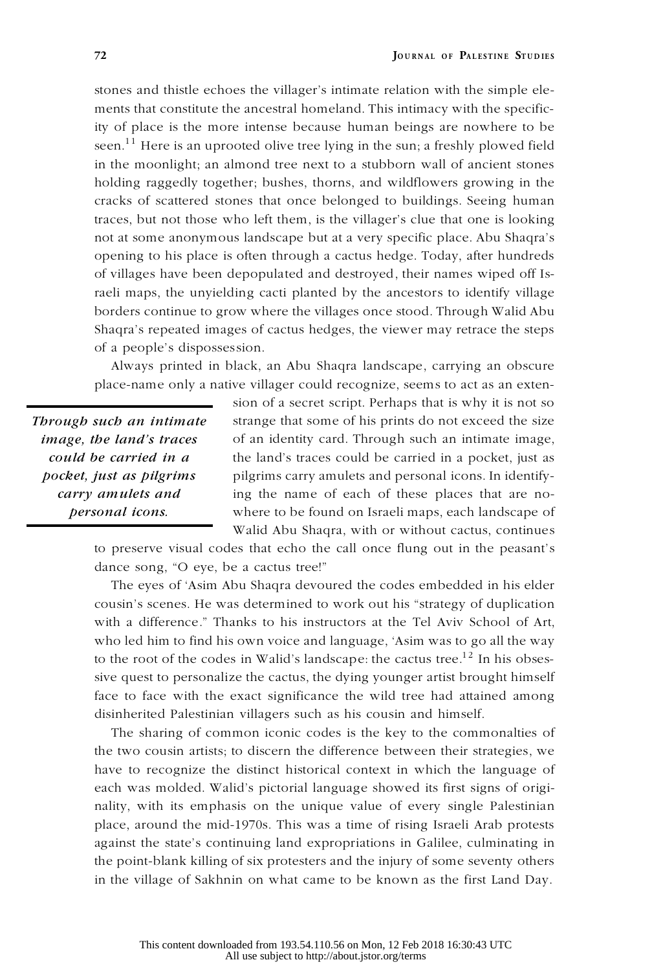stones and thistle echoes the villager's intimate relation with the simple ele ments that constitute the ancestral homeland. This intimacy with the specificity of place is the more intense because human beings are nowhere to be seen. $^{11}$  Here is an uprooted olive tree lying in the sun; a freshly plowed field in the moonlight; an almond tree next to a stubborn wall of ancient stones holding raggedly together; bushes, thorns, and wildflowers growing in the cracks of scattered stones that once belonged to buildings. Seeing human traces, but not those who left them, is the villager's clue that one is looking not at some anonymous landscape but at a very specific place. Abu Shaqra's opening to his place is often through a cactus hedge. Today, after hundreds of villages have been depopulated and destroyed, their names wiped off Israeli maps, the unyielding cacti planted by the ancestors to identify village borders continue to grow where the villages once stood. Through Walid Abu Shaqra's repeated images of cactus hedges, the viewer may retrace the steps of a people's dispossession.

Always printed in black, an Abu Shaqra landscape, carrying an obscure place-name only a native villager could recognize, seems to act as an exten-

sion of a secret script. Perhaps that is why it is not so **Through such an intimate** strange that some of his prints do not exceed the size *image, the land's traces* of an identity card. Through such an intimate image, *could be carried in a* the land's traces could be carried in a pocket, just as *pocket, just as pilgrims* pilgrims carry amulets and personal icons. In identify*carry amulets and* ing the name of each of these places that are no*personal icons.* where to be found on Israeli maps, each landscape of Walid Abu Shaqra, with or without cactus, continues

> to preserve visual codes that echo the call once flung out in the peasant's dance song, "O eye, be a cactus tree!"

> The eyes of 'Asim Abu Shaqra devoured the codes embedded in his elder cousin's scenes. He was determined to work out his "strategy of duplication with a difference." Thanks to his instructors at the Tel Aviv School of Art, who led him to find his own voice and language, 'Asim was to go all the way to the root of the codes in Walid's landscape: the cactus tree. $^{12}$  In his obsessive quest to personalize the cactus, the dying younger artist brought himself face to face with the exact significance the wild tree had attained among disinherited Palestinian villagers such as his cousin and himself.

> The sharing of common iconic codes is the key to the commonalties of the two cousin artists; to discern the difference between their strategies, we have to recognize the distinct historical context in which the language of each was molded. Walid's pictorial language showed its first signs of originality, with its emphasis on the unique value of every single Palestinian place, around the mid-1970s. This was a time of rising Israeli Arab protests against the state's continuing land expropriations in Galilee, culminating in the point-blank killing of six protesters and the injury of some seventy others in the village of Sakhnin on what came to be known as the first Land Day.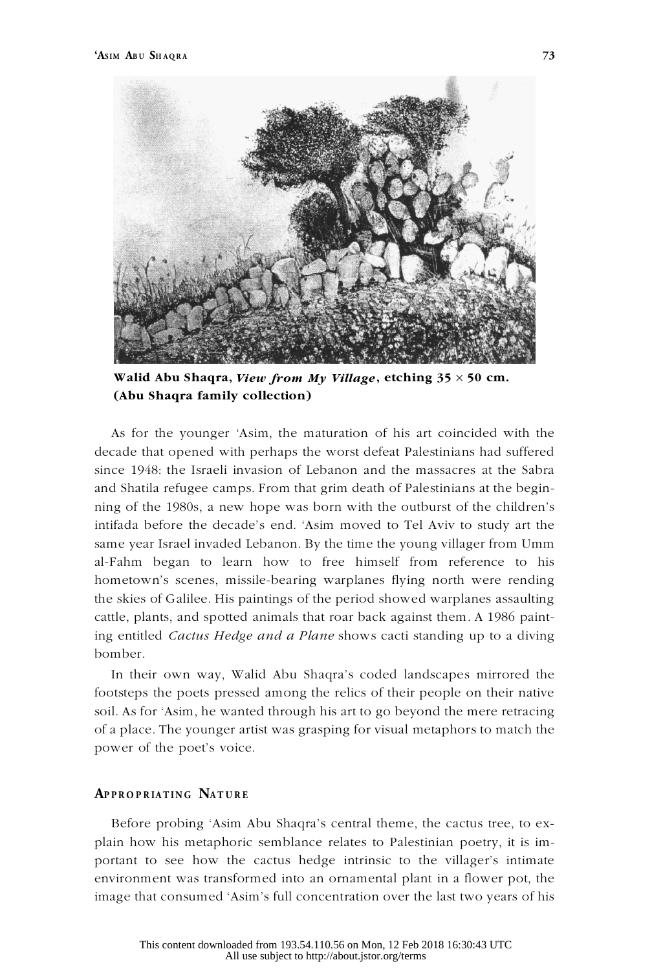

**Walid Abu Shaqra,** *View from My Village*, etching  $35 \times 50$  cm. **(Abu Shaqra family collection)**

As for the younger 'Asim, the maturation of his art coincided with the decade that opened with perhaps the worst defeat Palestinians had suffered since 1948: the Israeli invasion of Lebanon and the massacres at the Sabra and Shatila refugee camps. From that grim death of Palestinians at the beginning of the 1980s, a new hope was born with the outburst of the children's intifada before the decade's end. 'Asim moved to Tel Aviv to study art the same year Israel invaded Lebanon. By the time the young villager from Umm al-Fahm began to learn how to free himself from reference to his hometown's scenes, missile-bearing warplanes flying north were rending the skies of Galilee. His paintings of the period showed warplanes assaulting cattle, plants, and spotted animals that roar back against them. A 1986 painting entitled *Cactus Hedge and a Plane* shows cacti standing up to a diving bomber.

In their own way, Walid Abu Shaqra's coded landscapes mirrored the footsteps the poets pressed among the relics of their people on their native soil. As for 'Asim, he wanted through his art to go beyond the mere retracing of a place. The younger artist was grasping for visual metaphors to match the power of the poet's voice.

## **A<sup>P</sup> PR <sup>O</sup> <sup>P</sup> <sup>R</sup> IA <sup>T</sup> IN <sup>G</sup> N<sup>A</sup> <sup>T</sup> <sup>U</sup> <sup>R</sup> <sup>E</sup>**

Before probing 'Asim Abu Shaqra's central theme, the cactus tree, to ex plain how his metaphoric semblance relates to Palestinian poetry, it is im portant to see how the cactus hedge intrinsic to the villager's intimate environment was transformed into an ornamental plant in a flower pot, the image that consumed 'Asim's full concentration over the last two years of his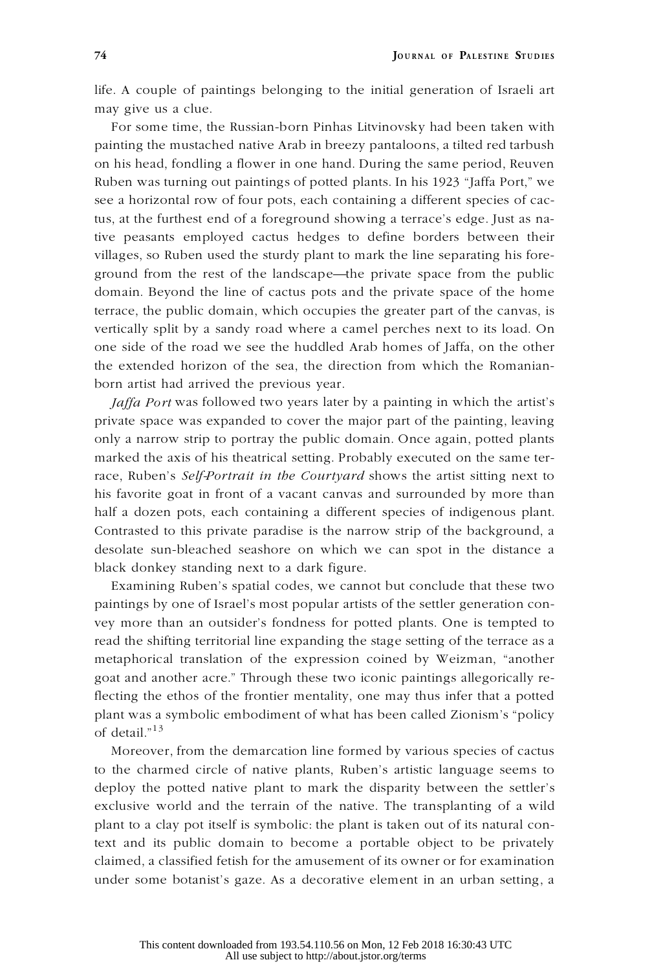life. A couple of paintings belonging to the initial generation of Israeli art may give us a clue.

For some time, the Russian-born Pinhas Litvinovsky had been taken with painting the mustached native Arab in breezy pantaloons, a tilted red tarbush on his head, fondling a flower in one hand. During the same period, Reuven Ruben was turning out paintings of potted plants. In his 1923 "Jaffa Port," we see a horizontal row of four pots, each containing a different species of cactus, at the furthest end of a foreground showing a terrace's edge. Just as native peasants employed cactus hedges to define borders between their villages, so Ruben used the sturdy plant to mark the line separating his foreground from the rest of the landscape—the private space from the public domain. Beyond the line of cactus pots and the private space of the home terrace, the public domain, which occupies the greater part of the canvas, is vertically split by a sandy road where a camel perches next to its load. On one side of the road we see the huddled Arab homes of Jaffa, on the other the extended horizon of the sea, the direction from which the Romanianborn artist had arrived the previous year.

*Jaffa Port* was followed two years later by a painting in which the artist's private space was expanded to cover the major part of the painting, leaving only a narrow strip to portray the public domain. Once again, potted plants marked the axis of his theatrical setting. Probably executed on the same terrace, Ruben's *Self-Portrait in the Courtyard* shows the artist sitting next to his favorite goat in front of a vacant canvas and surrounded by more than half a dozen pots, each containing a different species of indigenous plant. Contrasted to this private paradise is the narrow strip of the background, a desolate sun-bleached seashore on which we can spot in the distance a black donkey standing next to a dark figure.

Examining Ruben's spatial codes, we cannot but conclude that these two paintings by one of Israel's most popular artists of the settler generation con vey more than an outsider's fondness for potted plants. One is tempted to read the shifting territorial line expanding the stage setting of the terrace as a metaphorical translation of the expression coined by Weizman, "another goat and another acre." Through these two iconic paintings allegorically reflecting the ethos of the frontier mentality, one may thus infer that a potted plant was a symbolic embodiment of what has been called Zionism's "policy of detail."<sup>13</sup>

Moreover, from the demarcation line formed by various species of cactus to the charmed circle of native plants, Ruben's artistic language seems to deploy the potted native plant to mark the disparity between the settler's exclusive world and the terrain of the native. The transplanting of a wild plant to a clay pot itself is symbolic: the plant is taken out of its natural context and its public domain to become a portable object to be privately claimed, a classified fetish for the amusement of its owner or for examination under some botanist's gaze. As a decorative element in an urban setting, a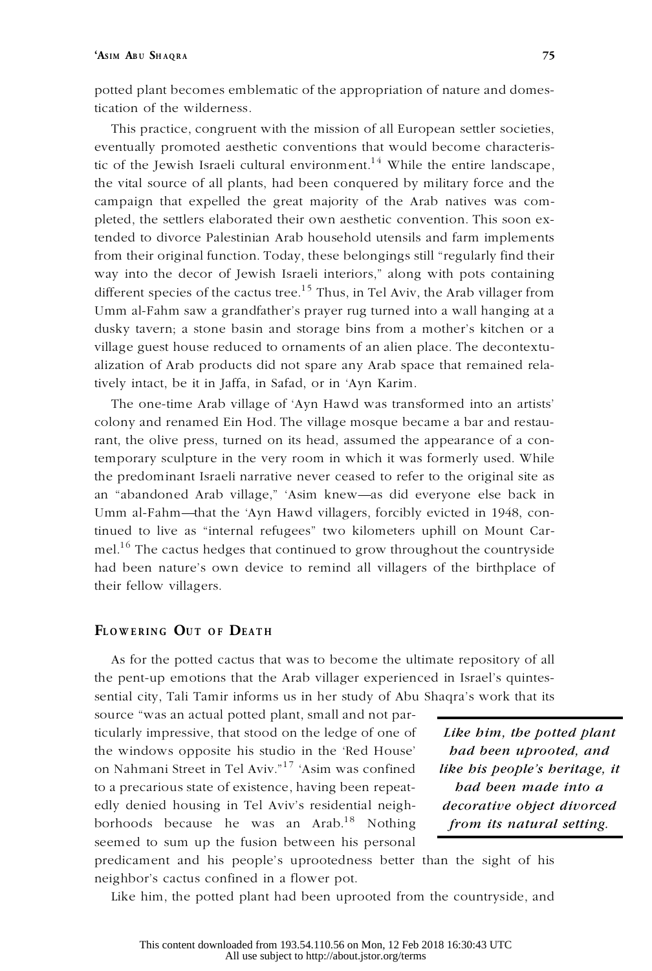potted plant becomes emblematic of the appropriation of nature and domestication of the wilderness.

This practice, congruent with the mission of all European settler societies, eventually promoted aesthetic conventions that would become characteristic of the Jewish Israeli cultural environment.<sup>14</sup> While the entire landscape, the vital source of all plants, had been conquered by military force and the campaign that expelled the great majority of the Arab natives was com pleted, the settlers elaborated their own aesthetic convention. This soon extended to divorce Palestinian Arab household utensils and farm implements from their original function. Today, these belongings still "regularly find their way into the decor of Jewish Israeli interiors," along with pots containing different species of the cactus tree.<sup>15</sup> Thus, in Tel Aviv, the Arab villager from Umm al-Fahm saw a grandfather's prayer rug turned into a wall hanging at a dusky tavern; a stone basin and storage bins from a mother's kitchen or a village guest house reduced to ornaments of an alien place. The decontextualization of Arab products did not spare any Arab space that remained relatively intact, be it in Jaffa, in Safad, or in 'Ayn Karim.

The one-time Arab village of 'Ayn Hawd was transformed into an artists' colony and renamed Ein Hod. The village mosque became a bar and restaurant, the olive press, turned on its head, assumed the appearance of a contemporary sculpture in the very room in which it was formerly used. While the predominant Israeli narrative never ceased to refer to the original site as an "abandoned Arab village," 'Asim knew—as did everyone else back in Umm al-Fahm—that the 'Ayn Hawd villagers, forcibly evicted in 1948, continued to live as "internal refugees" two kilometers uphill on Mount Car mel.<sup>16</sup> The cactus hedges that continued to grow throughout the countryside had been nature's own device to remind all villagers of the birthplace of their fellow villagers.

### $F_{\text{LOWERING}}$  Out of DEATH

As for the potted cactus that was to become the ultimate repository of all the pent-up emotions that the Arab villager experienced in Israel's quintessential city, Tali Tamir informs us in her study of Abu Shaqra's work that its

source "was an actual potted plant, small and not particularly impressive, that stood on the ledge of one of *Like him, the potted plant* the windows opposite his studio in the 'Red House' *had been uprooted, and* on Nahmani Street in Tel Aviv."<sup>17</sup> 'Asim was confined to a precarious state of existence, having been repeat- *had been made into a* edly denied housing in Tel Aviv's residential neigh- *decorative object divorced* borhoods because he was an Arab.<sup>18</sup> Nothing *from its natural setting*. seemed to sum up the fusion between his personal

like his people's heritage, it

predicament and his people's uprootedness better than the sight of his neighbor's cactus confined in a flower pot.

Like him, the potted plant had been uprooted from the countryside, and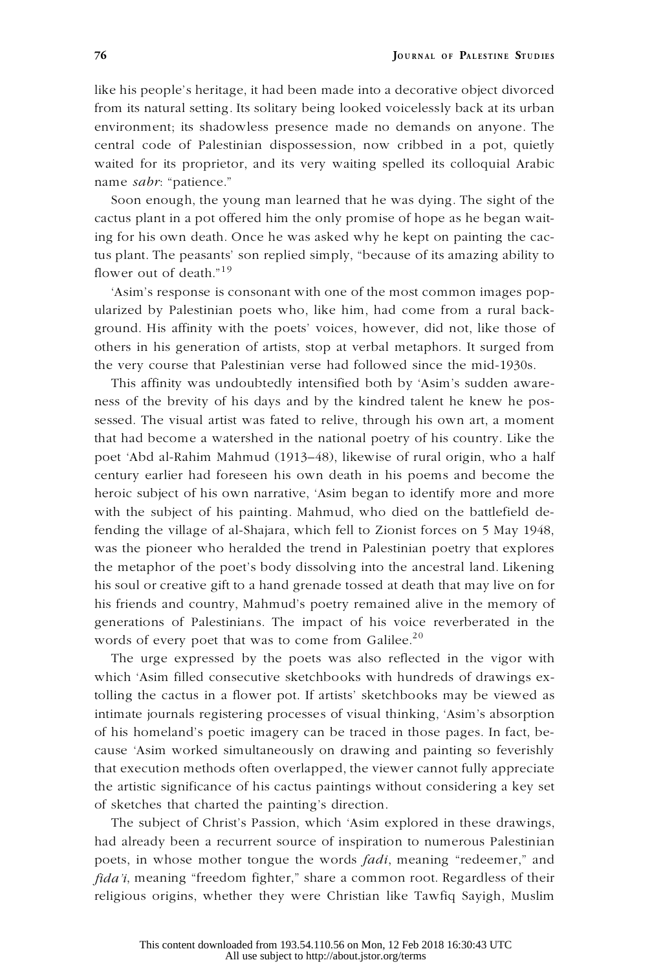like his people's heritage, it had been made into a decorative object divorced from its natural setting. Its solitary being looked voicelessly back at its urban environment; its shadowless presence made no demands on anyone. The central code of Palestinian dispossession, now cribbed in a pot, quietly waited for its proprietor, and its very waiting spelled its colloquial Arabic name *sabr*: "patience."

Soon enough, the young man learned that he was dying. The sight of the cactus plant in a pot offered him the only promise of hope as he began waiting for his own death. Once he was asked why he kept on painting the cactus plant. The peasants' son replied simply, "because of its amazing ability to flower out of death. $n^{19}$ 

'Asim's response is consonant with one of the most common images popularized by Palestinian poets who, like him, had come from a rural background. His affinity with the poets' voices, however, did not, like those of others in his generation of artists, stop at verbal metaphors. It surged from the very course that Palestinian verse had followed since the mid-1930s.

This affinity was undoubtedly intensified both by 'Asim's sudden aware ness of the brevity of his days and by the kindred talent he knew he possessed. The visual artist was fated to relive, through his own art, a moment that had become a watershed in the national poetry of his country. Like the poet 'Abd al-Rahim Mahmud (1913–48), likewise of rural origin, who a half century earlier had foreseen his own death in his poems and become the heroic subject of his own narrative, 'Asim began to identify more and more with the subject of his painting. Mahmud, who died on the battlefield defending the village of al-Shajara, which fell to Zionist forces on 5 May 1948, was the pioneer who heralded the trend in Palestinian poetry that explores the metaphor of the poet's body dissolving into the ancestral land. Likening his soul or creative gift to a hand grenade tossed at death that may live on for his friends and country, Mahmud's poetry remained alive in the memory of generations of Palestinians. The impact of his voice reverberated in the words of every poet that was to come from Galilee.<sup>20</sup>

The urge expressed by the poets was also reflected in the vigor with which 'Asim filled consecutive sketchbooks with hundreds of drawings extolling the cactus in a flower pot. If artists' sketchbooks may be viewed as intimate journals registering processes of visual thinking, 'Asim's absorption of his homeland's poetic imagery can be traced in those pages. In fact, be cause 'Asim worked simultaneously on drawing and painting so feverishly that execution methods often overlapped, the viewer cannot fully appreciate the artistic significance of his cactus paintings without considering a key set of sketches that charted the painting's direction.

The subject of Christ's Passion, which 'Asim explored in these drawings, had already been a recurrent source of inspiration to numerous Palestinian poets, in whose mother tongue the words *fadi*, meaning "redeemer," and *fida'i*, meaning "freedom fighter," share a common root. Regardless of their religious origins, whether they were Christian like Tawfiq Sayigh, Muslim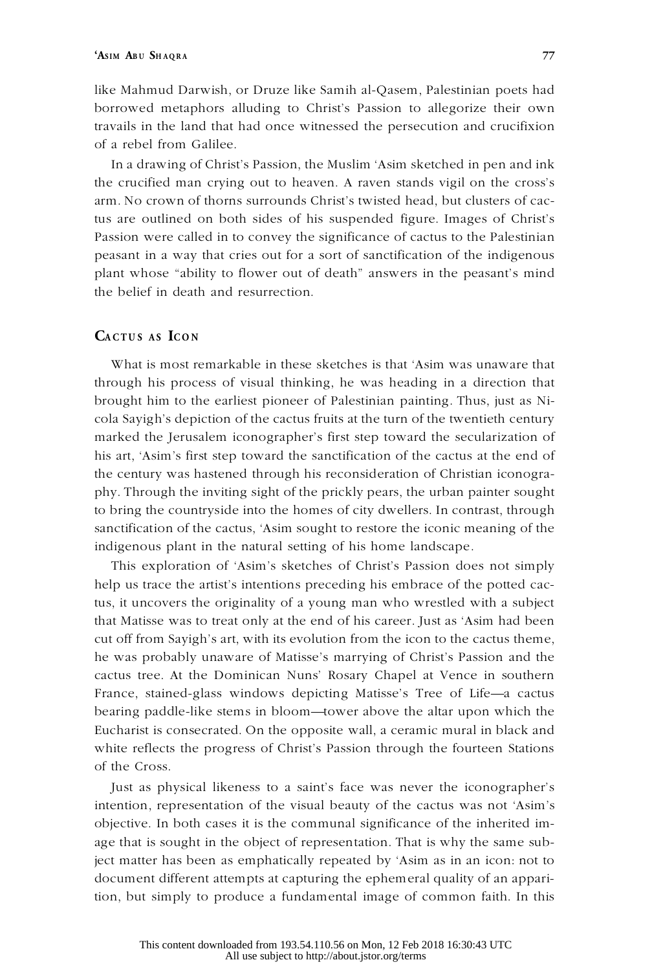like Mahmud Darwish, or Druze like Samih al-Qasem, Palestinian poets had borrowed metaphors alluding to Christ's Passion to allegorize their own travails in the land that had once witnessed the persecution and crucifixion of a rebel from Galilee.

In a drawing of Christ's Passion, the Muslim 'Asim sketched in pen and ink the crucified man crying out to heaven. A raven stands vigil on the cross's arm. No crown of thorns surrounds Christ's twisted head, but clusters of cactus are outlined on both sides of his suspended figure. Images of Christ's Passion were called in to convey the significance of cactus to the Palestinian peasant in a way that cries out for a sort of sanctification of the indigenous plant whose "ability to flower out of death" answers in the peasant's mind the belief in death and resurrection.

## $C$ **ACTUS AS**  $I$ CON

What is most remarkable in these sketches is that 'Asim was unaware that through his process of visual thinking, he was heading in a direction that brought him to the earliest pioneer of Palestinian painting. Thus, just as Nicola Sayigh's depiction of the cactus fruits at the turn of the twentieth century marked the Jerusalem iconographer's first step toward the secularization of his art, 'Asim's first step toward the sanctification of the cactus at the end of the century was hastened through his reconsideration of Christian iconogra phy. Through the inviting sight of the prickly pears, the urban painter sought to bring the countryside into the homes of city dwellers. In contrast, through sanctification of the cactus, 'Asim sought to restore the iconic meaning of the indigenous plant in the natural setting of his home landscape.

This exploration of 'Asim's sketches of Christ's Passion does not simply help us trace the artist's intentions preceding his embrace of the potted cactus, it uncovers the originality of a young man who wrestled with a subject that Matisse was to treat only at the end of his career. Just as 'Asim had been cut off from Sayigh's art, with its evolution from the icon to the cactus theme, he was probably unaware of Matisse's marrying of Christ's Passion and the cactus tree. At the Dominican Nuns' Rosary Chapel at Vence in southern France, stained-glass windows depicting Matisse's Tree of Life—a cactus bearing paddle-like stems in bloom—tower above the altar upon which the Eucharist is consecrated. On the opposite wall, a ceramic mural in black and white reflects the progress of Christ's Passion through the fourteen Stations of the Cross.

Just as physical likeness to a saint's face was never the iconographer's intention, representation of the visual beauty of the cactus was not 'Asim's objective. In both cases it is the communal significance of the inherited image that is sought in the object of representation. That is why the same subject matter has been as emphatically repeated by 'Asim as in an icon: not to document different attempts at capturing the ephemeral quality of an apparition, but simply to produce a fundamental image of common faith. In this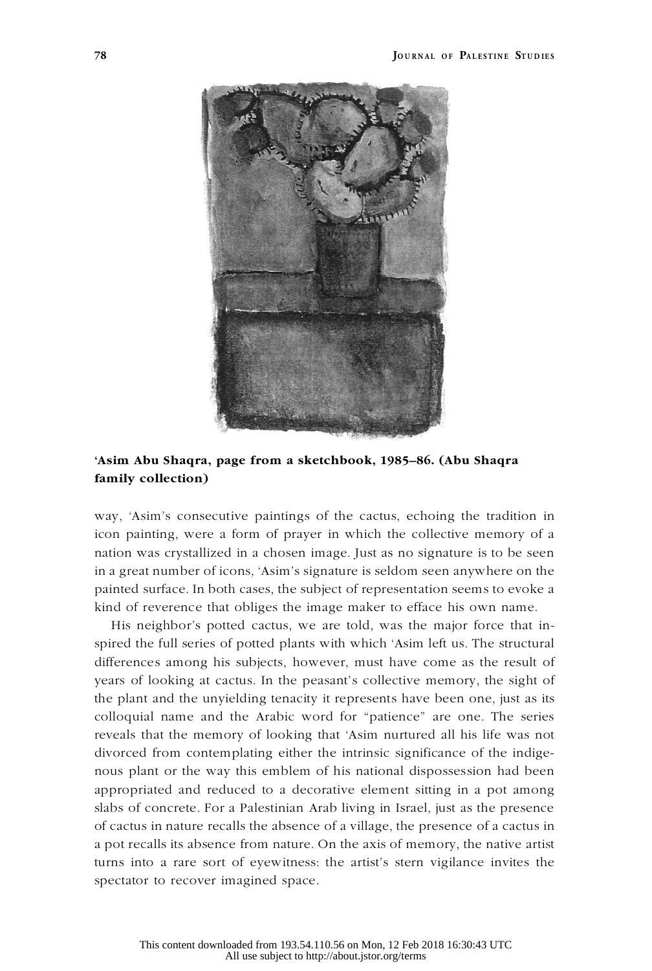

**'Asim Abu Shaqra, page from a sketchbook, 1985–86. (Abu Shaqra family collection)**

way, 'Asim's consecutive paintings of the cactus, echoing the tradition in icon painting, were a form of prayer in which the collective memory of a nation was crystallized in a chosen image. Just as no signature is to be seen in a great number of icons, 'Asim's signature is seldom seen anywhere on the painted surface. In both cases, the subject of representation seems to evoke a kind of reverence that obliges the image maker to efface his own name.

His neighbor's potted cactus, we are told, was the major force that inspired the full series of potted plants with which 'Asim left us. The structural differences among his subjects, however, must have come as the result of years of looking at cactus. In the peasant's collective memory, the sight of the plant and the unyielding tenacity it represents have been one, just as its colloquial name and the Arabic word for "patience" are one. The series reveals that the memory of looking that 'Asim nurtured all his life was not divorced from contemplating either the intrinsic significance of the indige nous plant or the way this emblem of his national dispossession had been appropriated and reduced to a decorative element sitting in a pot among slabs of concrete. For a Palestinian Arab living in Israel, just as the presence of cactus in nature recalls the absence of a village, the presence of a cactus in a pot recalls its absence from nature. On the axis of memory, the native artist turns into a rare sort of eyewitness: the artist's stern vigilance invites the spectator to recover imagined space.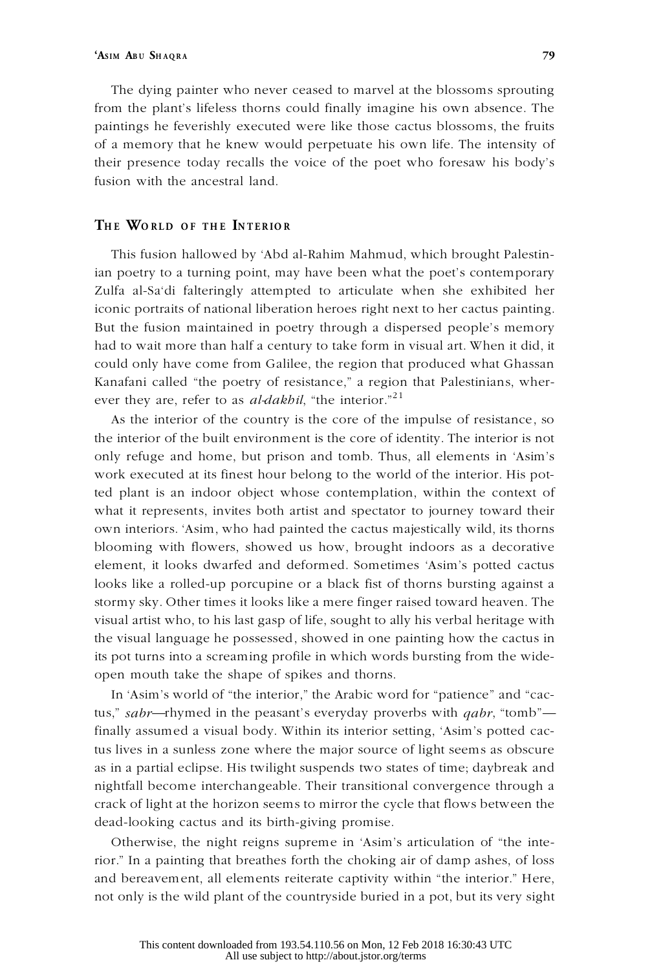The dying painter who never ceased to marvel at the blossoms sprouting from the plant's lifeless thorns could finally imagine his own absence. The paintings he feverishly executed were like those cactus blossoms, the fruits of a memory that he knew would perpetuate his own life. The intensity of their presence today recalls the voice of the poet who foresaw his body's fusion with the ancestral land.

#### **T<sup>H</sup> <sup>E</sup> W<sup>O</sup> RL <sup>D</sup> <sup>O</sup> <sup>F</sup> <sup>T</sup> <sup>H</sup> <sup>E</sup>I<sup>N</sup> <sup>T</sup> ER IO <sup>R</sup>**

This fusion hallowed by 'Abd al-Rahim Mahmud, which brought Palestinian poetry to a turning point, may have been what the poet's contemporary Zulfa al-Sa'di falteringly attempted to articulate when she exhibited her iconic portraits of national liberation heroes right next to her cactus painting. But the fusion maintained in poetry through a dispersed people's memory had to wait more than half a century to take form in visual art. When it did, it could only have come from Galilee, the region that produced what Ghassan Kanafani called "the poetry of resistance," a region that Palestinians, wher ever they are, refer to as *al-dakhil*, "the interior."<sup>21</sup>

As the interior of the country is the core of the impulse of resistance, so the interior of the built environment is the core of identity. The interior is not only refuge and home, but prison and tomb. Thus, all elements in 'Asim's work executed at its finest hour belong to the world of the interior. His potted plant is an indoor object whose contemplation, within the context of what it represents, invites both artist and spectator to journey toward their own interiors. 'Asim, who had painted the cactus majestically wild, its thorns blooming with flowers, showed us how, brought indoors as a decorative element, it looks dwarfed and deformed. Sometimes 'Asim's potted cactus looks like a rolled-up porcupine or a black fist of thorns bursting against a stormy sky. Other times it looks like a mere finger raised toward heaven. The visual artist who, to his last gasp of life, sought to ally his verbal heritage with the visual language he possessed, showed in one painting how the cactus in its pot turns into a screaming profile in which words bursting from the wideopen mouth take the shape of spikes and thorns.

In 'Asim's world of "the interior," the Arabic word for "patience" and "cactus," *sabr*—rhymed in the peasant's everyday proverbs with *qabr*, "tomb" finally assumed a visual body. Within its interior setting, 'Asim's potted cactus lives in a sunless zone where the major source of light seems as obscure as in a partial eclipse. His twilight suspends two states of time; daybreak and nightfall become interchangeable. Their transitional convergence through a crack of light at the horizon seems to mirror the cycle that flows between the dead-looking cactus and its birth-giving promise.

Otherwise, the night reigns supreme in 'Asim's articulation of "the interior." In a painting that breathes forth the choking air of damp ashes, of loss and bereavem ent, all elements reiterate captivity within "the interior." Here, not only is the wild plant of the countryside buried in a pot, but its very sight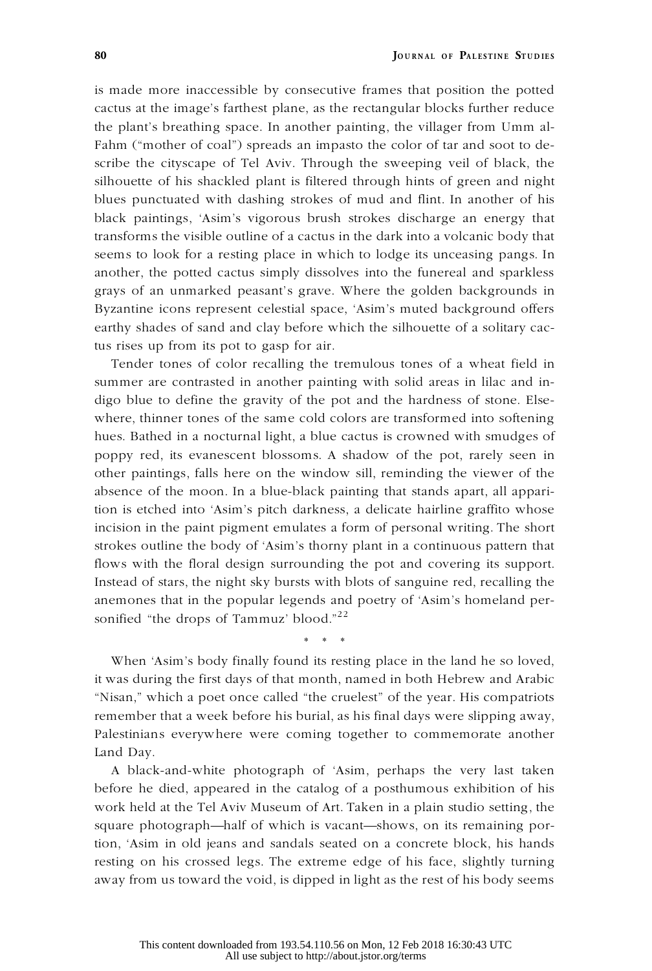is made more inaccessible by consecutive frames that position the potted cactus at the image's farthest plane, as the rectangular blocks further reduce the plant's breathing space. In another painting, the villager from Umm al-Fahm ("mother of coal") spreads an impasto the color of tar and soot to describe the cityscape of Tel Aviv. Through the sweeping veil of black, the silhouette of his shackled plant is filtered through hints of green and night blues punctuated with dashing strokes of mud and flint. In another of his black paintings, 'Asim's vigorous brush strokes discharge an energy that transforms the visible outline of a cactus in the dark into a volcanic body that seems to look for a resting place in which to lodge its unceasing pangs. In another, the potted cactus simply dissolves into the funereal and sparkless grays of an unmarked peasant's grave. Where the golden backgrounds in Byzantine icons represent celestial space, 'Asim's muted background offers earthy shades of sand and clay before which the silhouette of a solitary cactus rises up from its pot to gasp for air.

Tender tones of color recalling the tremulous tones of a wheat field in summer are contrasted in another painting with solid areas in lilac and indigo blue to define the gravity of the pot and the hardness of stone. Else where, thinner tones of the same cold colors are transformed into softening hues. Bathed in a nocturnal light, a blue cactus is crowned with smudges of poppy red, its evanescent blossoms. A shadow of the pot, rarely seen in other paintings, falls here on the window sill, reminding the viewer of the absence of the moon. In a blue-black painting that stands apart, all apparition is etched into 'Asim's pitch darkness, a delicate hairline graffito whose incision in the paint pigment emulates a form of personal writing. The short strokes outline the body of 'Asim's thorny plant in a continuous pattern that flows with the floral design surrounding the pot and covering its support. Instead of stars, the night sky bursts with blots of sanguine red, recalling the anemones that in the popular legends and poetry of 'Asim's homeland personified "the drops of Tammuz' blood."<sup>22</sup>

\* \* \*

When 'Asim's body finally found its resting place in the land he so loved, it was during the first days of that month, named in both Hebrew and Arabic "Nisan," which a poet once called "the cruelest" of the year. His compatriots remember that a week before his burial, as his final days were slipping away, Palestinians everywhere were coming together to commemorate another Land Day.

A black-and-white photograph of 'Asim, perhaps the very last taken before he died, appeared in the catalog of a posthumous exhibition of his work held at the Tel Aviv Museum of Art. Taken in a plain studio setting, the square photograph—half of which is vacant—shows, on its remaining portion, 'Asim in old jeans and sandals seated on a concrete block, his hands resting on his crossed legs. The extreme edge of his face, slightly turning away from us toward the void, is dipped in light as the rest of his body seems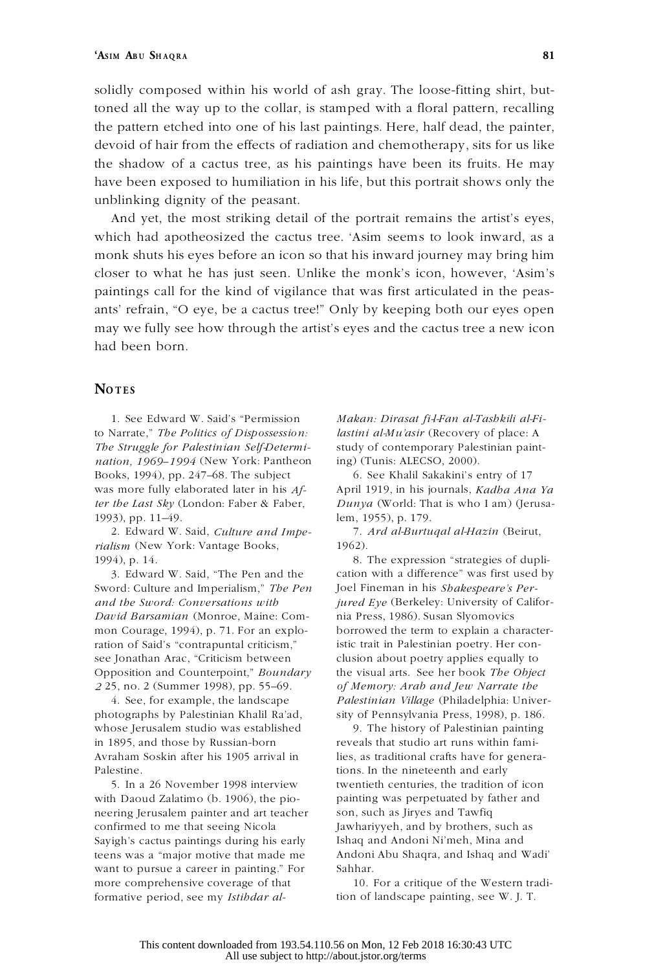solidly composed within his world of ash gray. The loose-fitting shirt, buttoned all the way up to the collar, is stamped with a floral pattern, recalling the pattern etched into one of his last paintings. Here, half dead, the painter, devoid of hair from the effects of radiation and chemotherapy, sits for us like the shadow of a cactus tree, as his paintings have been its fruits. He may have been exposed to humiliation in his life, but this portrait shows only the unblinking dignity of the peasant.

And yet, the most striking detail of the portrait remains the artist's eyes, which had apotheosized the cactus tree. 'Asim seems to look inward, as a monk shuts his eyes before an icon so that his inward journey may bring him closer to what he has just seen. Unlike the monk's icon, however, 'Asim's paintings call for the kind of vigilance that was first articulated in the peasants' refrain, "O eye, be a cactus tree!" Only by keeping both our eyes open may we fully see how through the artist's eyes and the cactus tree a new icon had been born.

#### **N<sup>O</sup> <sup>T</sup> <sup>E</sup> <sup>S</sup>**

to Narrate," *The Politics of Dispossession: lastini al-Mu'asir* (Recovery of place: A *The Struggle for Palestinian Self-Determi-* study of contemporary Palestinian paint*nation, 1969–1994* (New York: Pantheon ing) (Tunis: ALECSO, 2000). Books, 1994), pp. 247–68. The subject 6. See Khalil Sakakini's entry of 17 1993), pp. 11–49. lem, 1955), p. 179.

*rialism* (New York: Vantage Books, 1962). 1994), p. 14. 8. The expression "strategies of dupli-

Sword: Culture and Imperialism," *The Pen* Joel Fineman in his *Shakespeare's Per- David Barsamian* (Monroe, Maine: Com- nia Press, 1986). Susan Slyomovics ration of Said's "contrapuntal criticism," istic trait in Palestinian poetry. Her consee Jonathan Arac, "Criticism between clusion about poetry applies equally to Opposition and Counterpoint," *Boundary* the visual arts. See her book *The Object 2* 25, no. 2 (Summer 1998), pp. 55–69. *of Memory: Arab and Jew Narrate the*

whose Jerusalem studio was established 9. The history of Palestinian painting in 1895, and those by Russian-born reveals that studio art runs within fami-Palestine. The nineteenth and early entitled the nineteenth and early entitled the nineteenth and early entitled the nineteenth and early entitled the nineteenth and early entitled the nineteenth and early entitled the nin

with Daoud Zalatimo (b. 1906), the pio-<br>painting was perpetuated by father and neering Jerusalem painter and art teacher son, such as Jiryes and Tawfiq confirmed to me that seeing Nicola Jawhariyyeh, and by brothers, such as Sayigh's cactus paintings during his early Ishaq and Andoni Ni'meh, Mina and want to pursue a career in painting." For Sahhar. more comprehensive coverage of that 10. For a critique of the Western tradiformative period, see my *Istihdar al-* tion of landscape painting, see W. J. T.

1. See Edward W. Said's "Permission *Makan: Dirasat fi-l-Fan al-Tashkili al-Fi-*

was more fully elaborated later in his *Af-* April 1919, in his journals, *Kadha Ana Ya ter the Last Sky* (London: Faber & Faber, *Dunya* (World: That is who I am) (Jerusa-

2. Edward W. Said, *Culture and Impe-* 7. *Ard al-Burtuqal al-Hazin* (Beirut,

3. Edward W. Said, "The Pen and the cation with a difference" was first used by *and the Sword: Conversations with jured Eye* (Berkeley: University of Califormon Courage, 1994), p. 71. For an explo- borrowed the term to explain a character-4. See, for example, the landscape *Palestinian Village* (Philadelphia: Univerphotographs by Palestinian Khalil Ra'ad, sity of Pennsylvania Press, 1998), p. 186.

Avraham Soskin after his 1905 arrival in lies, as traditional crafts have for genera-5. In a 26 November 1998 interview twentieth centuries, the tradition of icon teens was a "major motive that made me Andoni Abu Shaqra, and Ishaq and Wadi'